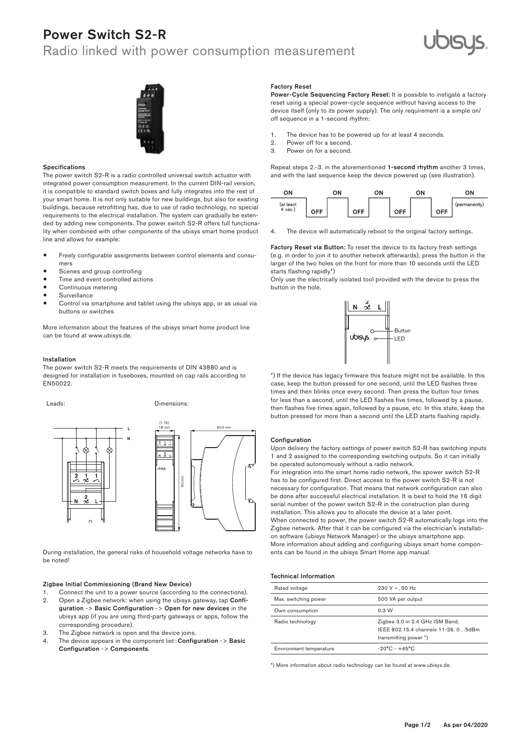# Power Switch S2-R

## Radio linked with power consumption measurement





#### Specifications

The power switch S2-R is a radio controlled universal switch actuator with integrated power consumption measurement. In the current DIN-rail version, it is compatible to standard switch boxes and fully integrates into the rest of your smart home. It is not only suitable for new buildings, but also for existing buildings, because retrofitting has, due to use of radio technology, no special requirements to the electrical installation. The system can gradually be extended by adding new components. The power switch S2-R offers full functionality when combined with other components of the ubisys smart home product line and allows for example:

- Freely configurable assignments between control elements and consumers
- Scenes and group controlling
- Time and event controlled actions
- Continuous metering
- **Surveillance**
- Control via smartphone and tablet using the ubisys app, or as usual via buttons or switches

More information about the features of the ubisys smart home product line can be found at www.ubisys.de.

#### Installation

The power switch S2-R meets the requirements of DIN 43880 and is designed for installation in fuseboxes, mounted on cap rails according to EN50022.

Leads: Dimensions: 90 mm 18 mm (1 TE)

.<br>During installation, the general risks of household voltage networks have to be noted! ks of house tallation, th

### Zigbee Initial Commissioning (Brand New Device)

- Connect the unit to a power source (according to the connections). 2. Open a Zigbee network: when using the ubisys gateway, tap Confi-
- guration -> Basic Configuration -> Open for new devices in the ubisys app (if you are using third-party gateways or apps, follow the corresponding procedure).
- 3. The Zigbee network is open and the device joins.
- The device appears in the component list: Configuration -> Basic Configuration -> Components.

#### Factory Reset

Power-Cycle Sequencing Factory Reset: It is possible to instigate a factory reset using a special power-cycle sequence without having access to the device itself (only to its power supply). The only requirement is a simple on/ off sequence in a 1-second rhythm:

- 1. The device has to be powered up for at least 4 seconds.<br>2. Power off for a second.
- 2. Power off for a second.<br>3. Power on for a second
- Power on for a second.

Repeat steps 2.-3. in the aforementioned 1-second rhythm another 3 times, and with the last sequence keep the device powered up (see illustration).



4. The device will automatically reboot to the original factory settings.

Factory Reset via Button: To reset the device to its factory fresh settings (e.g. in order to join it to another network afterwards), press the button in the larger of the two holes on the front for more than 10 seconds until the LED starts flashing rapidly.\*)

Only use the electrically isolated tool provided with the device to press the button in the hole.



\*) If the device has legacy firmware this feature might not be available. In this case, keep the button pressed for one second, until the LED flashes three times and then blinks once every second. Then press the button four times for less than a second, until the LED flashes five times, followed by a pause, then flashes five times again, followed by a pause, etc. In this state, keep the button pressed for more than a second until the LED starts flashing rapidly.

#### Configuration

 $60.5<sub>1</sub>$ 

Upon delivery the factory settings of power switch S2-R has switching inputs 1 and 2 assigned to the corresponding switching outputs. So it can initially be operated autonomously without a radio network.

In commercially communicately of the data of analysis mart home compon-<br>More information about adding and configuring ubisys smart home components can be found in the ubisys Smart Home app manual. on software (ubisys Network Manager) or the ubisys smartphone app. has to be configured first. Direct access to the power switch S2-R is not For integration into the smart home radio network, the spower switch S2-R necessary for configuration. That means that network configuration can also be done after successful electrical installation. It is best to hold the 16 digit serial number of the power switch S2-R in the construction plan during installation. This allows you to allocate the device at a later point. When connected to power, the power switch S2-R automatically logs into the Zigbee network. After that it can be configured via the electrician's installati-

#### Technical Information

| Rated voltage           | 230 V $\sim$ , 50 Hz                                                                            |
|-------------------------|-------------------------------------------------------------------------------------------------|
| Max. switching power    | 500 VA per output                                                                               |
| Own consumption         | 0.3 W                                                                                           |
| Radio technology        | Zigbee 3.0 in 2.4 GHz ISM Band,<br>IEEE 802.15.4 channels 11-26, 05dBm<br>transmitting power *) |
| Environment temperature | $-20^{\circ}$ C - $+45^{\circ}$ C                                                               |

\*) More information about radio technology can be found at www.ubisys.de.